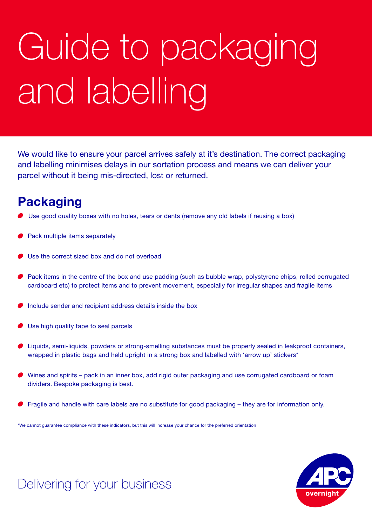# Guide to packaging and labelling

We would like to ensure your parcel arrives safely at it's destination. The correct packaging and labelling minimises delays in our sortation process and means we can deliver your parcel without it being mis-directed, lost or returned.

#### **Packaging**

- Use good quality boxes with no holes, tears or dents (remove any old labels if reusing a box)
- Pack multiple items separately
- Use the correct sized box and do not overload
- Pack items in the centre of the box and use padding (such as bubble wrap, polystyrene chips, rolled corrugated cardboard etc) to protect items and to prevent movement, especially for irregular shapes and fragile items
- Include sender and recipient address details inside the box
- Use high quality tape to seal parcels
- Liquids, semi-liquids, powders or strong-smelling substances must be properly sealed in leakproof containers, wrapped in plastic bags and held upright in a strong box and labelled with 'arrow up' stickers\*
- Wines and spirits pack in an inner box, add rigid outer packaging and use corrugated cardboard or foam dividers. Bespoke packaging is best.
- Fragile and handle with care labels are no substitute for good packaging they are for information only.

\*We cannot guarantee compliance with these indicators, but this will increase your chance for the preferred orientation



## Delivering for your business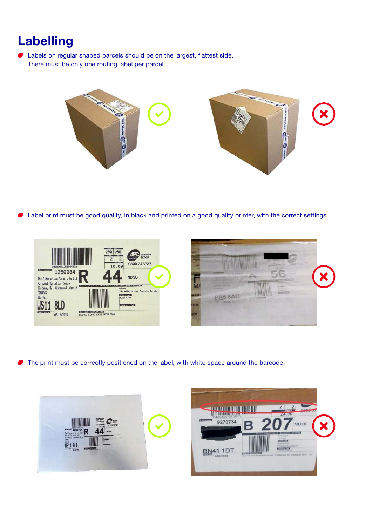## **Labelling**

 Labels on regular shaped parcels should be on the largest, flattest side. There must be only one routing label per parcel.



Label print must be good quality, in black and printed on a good quality printer, with the correct settings.





The print must be correctly positioned on the label, with white space around the barcode.



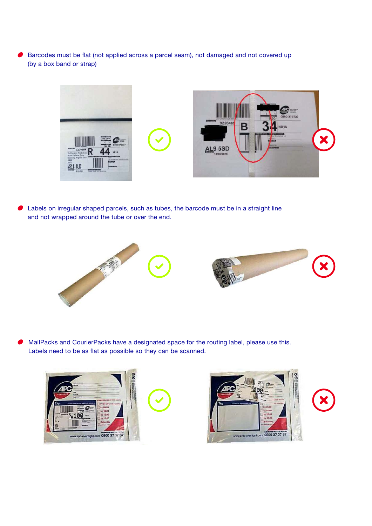Barcodes must be flat (not applied across a parcel seam), not damaged and not covered up (by a box band or strap)



 Labels on irregular shaped parcels, such as tubes, the barcode must be in a straight line and not wrapped around the tube or over the end.



 MailPacks and CourierPacks have a designated space for the routing label, please use this. Labels need to be as flat as possible so they can be scanned.